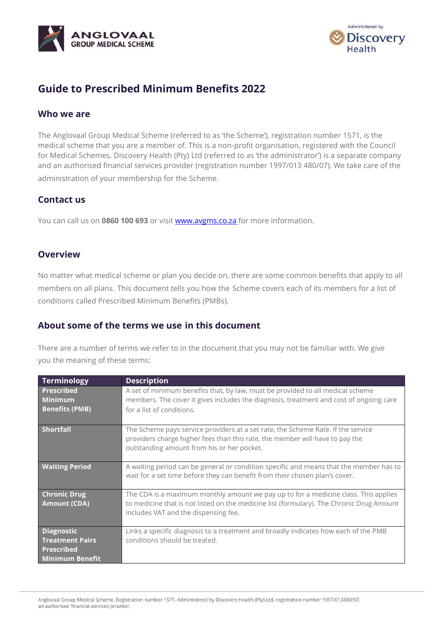



# **Guide to Prescribed Minimum Benefits 2022**

### **Who we are**

The Anglovaal Group Medical Scheme (referred to as 'the Scheme'), registration number 1571, is the medical scheme that you are a member of. This is a non-profit organisation, registered with the Council for Medical Schemes. Discovery Health (Pty) Ltd (referred to as 'the administrator') is a separate company and an authorised financial services provider (registration number 1997/013 480/07). We take care of the administration of your membership for the Scheme.

### **Contact us**

You can call us on **0860 100 693** or visit [www.avgms.co.za](http://www.avgms.co.za/) for more information.

### **Overview**

No matter what medical scheme or plan you decide on, there are some common benefits that apply to all members on all plans. This document tells you how the Scheme covers each of its members for a list of conditions called Prescribed Minimum Benefits (PMBs).

# **About some of the terms we use in this document**

There are a number of terms we refer to in the document that you may not be familiar with. We give you the meaning of these terms:

| Terminology                                                                         | <b>Description</b>                                                                                                                                                                                                      |  |  |
|-------------------------------------------------------------------------------------|-------------------------------------------------------------------------------------------------------------------------------------------------------------------------------------------------------------------------|--|--|
| <b>Prescribed</b><br><b>Minimum</b><br><b>Benefits (PMB)</b>                        | A set of minimum benefits that, by law, must be provided to all medical scheme<br>members. The cover it gives includes the diagnosis, treatment and cost of ongoing care<br>for a list of conditions.                   |  |  |
| <b>Shortfall</b>                                                                    | The Scheme pays service providers at a set rate, the Scheme Rate. If the service<br>providers charge higher fees than this rate, the member will have to pay the<br>outstanding amount from his or her pocket.          |  |  |
| <b>Waiting Period</b>                                                               | A waiting period can be general or condition specific and means that the member has to<br>wait for a set time before they can benefit from their chosen plan's cover.                                                   |  |  |
| <b>Chronic Drug</b><br><b>Amount (CDA)</b>                                          | The CDA is a maximum monthly amount we pay up to for a medicine class. This applies<br>to medicine that is not listed on the medicine list (formulary). The Chronic Drug Amount<br>includes VAT and the dispensing fee. |  |  |
| Diagnostic<br><b>Treatment Pairs</b><br><b>Prescribed</b><br><b>Minimum Benefit</b> | Links a specific diagnosis to a treatment and broadly indicates how each of the PMB<br>conditions should be treated.                                                                                                    |  |  |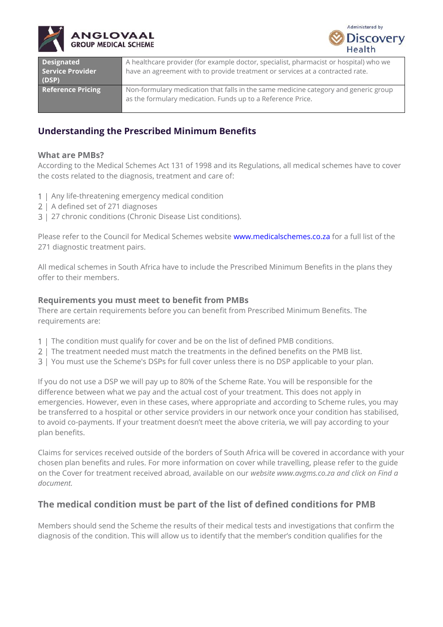



| <b>Designated</b><br>Service Provider<br>(DSP) | A healthcare provider (for example doctor, specialist, pharmacist or hospital) who we<br>have an agreement with to provide treatment or services at a contracted rate. |
|------------------------------------------------|------------------------------------------------------------------------------------------------------------------------------------------------------------------------|
| <b>Reference Pricing</b>                       | Non-formulary medication that falls in the same medicine category and generic group<br>as the formulary medication. Funds up to a Reference Price.                     |

# **Understanding the Prescribed Minimum Benefits**

#### **What are PMBs?**

According to the Medical Schemes Act 131 of 1998 and its Regulations, all medical schemes have to cover the costs related to the diagnosis, treatment and care of:

- 1 | Any life-threatening emergency medical condition
- 2 | A defined set of 271 diagnoses
- 3 | 27 chronic conditions (Chronic Disease List conditions).

Please refer to the Council for Medical Schemes website [www.medicalschemes.co.za](http://www.medicalschemes.co.za/) for a full list of the 271 diagnostic treatment pairs.

All medical schemes in South Africa have to include the Prescribed Minimum Benefits in the plans they offer to their members.

#### **Requirements you must meet to benefit from PMBs**

There are certain requirements before you can benefit from Prescribed Minimum Benefits. The requirements are:

- 1 | The condition must qualify for cover and be on the list of defined PMB conditions.
- 2 | The treatment needed must match the treatments in the defined benefits on the PMB list.
- 3 | You must use the Scheme's DSPs for full cover unless there is no DSP applicable to your plan.

If you do not use a DSP we will pay up to 80% of the Scheme Rate. You will be responsible for the difference between what we pay and the actual cost of your treatment. This does not apply in emergencies. However, even in these cases, where appropriate and according to Scheme rules, you may be transferred to a hospital or other service providers in our network once your condition has stabilised, to avoid co-payments. If your treatment doesn't meet the above criteria, we will pay according to your plan benefits.

Claims for services received outside of the borders of South Africa will be covered in accordance with your chosen plan benefits and rules. For more information on cover while travelling, please refer to the guide on the Cover for treatment received abroad, available on our *website [www.avgms.co.za](http://www.avgms.co.za/) and click on Find a document.*

# **The medical condition must be part of the list of defined conditions for PMB**

Members should send the Scheme the results of their medical tests and investigations that confirm the diagnosis of the condition. This will allow us to identify that the member's condition qualifies for the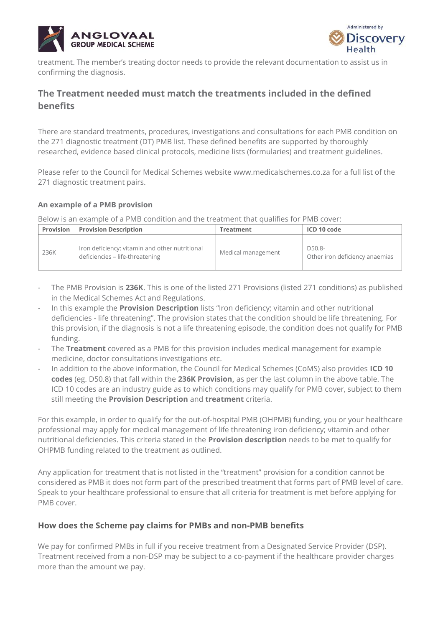



treatment. The member's treating doctor needs to provide the relevant documentation to assist us in confirming the diagnosis.

# **The Treatment needed must match the treatments included in the defined benefits**

There are standard treatments, procedures, investigations and consultations for each PMB condition on the 271 diagnostic treatment (DT) PMB list. These defined benefits are supported by thoroughly researched, evidence based clinical protocols, medicine lists (formularies) and treatment guidelines.

Please refer to the Council for Medical Schemes website [www.medicalschemes.co.](http://www.medicalschemes.com/)za for a full list of the 271 diagnostic treatment pairs.

#### **An example of a PMB provision**

Below is an example of a PMB condition and the treatment that qualifies for PMB cover:

| Provision | <b>Provision Description</b>                                                      | Treatment          | ICD 10 code                              |
|-----------|-----------------------------------------------------------------------------------|--------------------|------------------------------------------|
| 236K      | Iron deficiency; vitamin and other nutritional<br>deficiencies – life-threatening | Medical management | D50.8-<br>Other iron deficiency anaemias |

- The PMB Provision is **236K**. This is one of the listed 271 Provisions (listed 271 conditions) as published in the Medical Schemes Act and Regulations.
- In this example the **Provision Description** lists "Iron deficiency; vitamin and other nutritional deficiencies - life threatening". The provision states that the condition should be life threatening. For this provision, if the diagnosis is not a life threatening episode, the condition does not qualify for PMB funding.
- The **Treatment** covered as a PMB for this provision includes medical management for example medicine, doctor consultations investigations etc.
- In addition to the above information, the Council for Medical Schemes (CoMS) also provides **ICD 10 codes** (eg. D50.8) that fall within the **236K Provision,** as per the last column in the above table. The ICD 10 codes are an industry guide as to which conditions may qualify for PMB cover, subject to them still meeting the **Provision Description** and **treatment** criteria.

For this example, in order to qualify for the out-of-hospital PMB (OHPMB) funding, you or your healthcare professional may apply for medical management of life threatening iron deficiency; vitamin and other nutritional deficiencies. This criteria stated in the **Provision description** needs to be met to qualify for OHPMB funding related to the treatment as outlined.

Any application for treatment that is not listed in the "treatment" provision for a condition cannot be considered as PMB it does not form part of the prescribed treatment that forms part of PMB level of care. Speak to your healthcare professional to ensure that all criteria for treatment is met before applying for PMB cover.

### **How does the Scheme pay claims for PMBs and non-PMB benefits**

We pay for confirmed PMBs in full if you receive treatment from a Designated Service Provider (DSP). Treatment received from a non-DSP may be subject to a co-payment if the healthcare provider charges more than the amount we pay.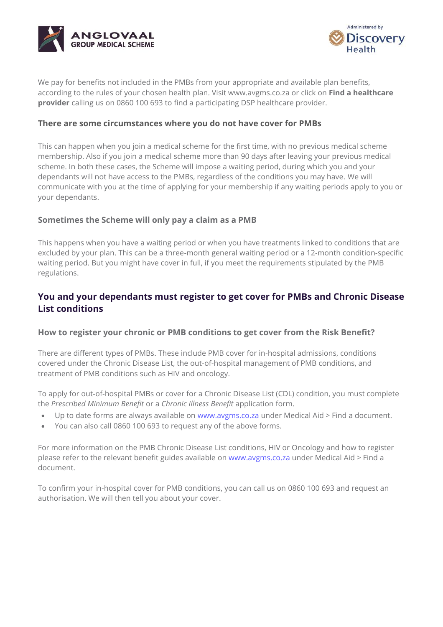



We pay for benefits not included in the PMBs from your appropriate and available plan benefits, according to the rules of your chosen health plan. Visit www.avgms.co.za or click on **Find a healthcare provider** calling us on 0860 100 693 to find a participating DSP healthcare provider.

#### **There are some circumstances where you do not have cover for PMBs**

This can happen when you join a medical scheme for the first time, with no previous medical scheme membership. Also if you join a medical scheme more than 90 days after leaving your previous medical scheme. In both these cases, the Scheme will impose a waiting period, during which you and your dependants will not have access to the PMBs, regardless of the conditions you may have. We will communicate with you at the time of applying for your membership if any waiting periods apply to you or your dependants.

### **Sometimes the Scheme will only pay a claim as a PMB**

This happens when you have a waiting period or when you have treatments linked to conditions that are excluded by your plan. This can be a three-month general waiting period or a 12-month condition-specific waiting period. But you might have cover in full, if you meet the requirements stipulated by the PMB regulations.

# **You and your dependants must register to get cover for PMBs and Chronic Disease List conditions**

#### **How to register your chronic or PMB conditions to get cover from the Risk Benefit?**

There are different types of PMBs. These include PMB cover for in-hospital admissions, conditions covered under the Chronic Disease List, the out-of-hospital management of PMB conditions, and treatment of PMB conditions such as HIV and oncology.

To apply for out-of-hospital PMBs or cover for a Chronic Disease List (CDL) condition, you must complete the *Prescribed Minimum Benefit* or a *Chronic Illness Benefit* application form.

- Up to date forms are always available on [www.avgms.co.za](http://www.avgms.co.za/) under Medical Aid > Find a document.
- You can also call 0860 100 693 to request any of the above forms.

For more information on the PMB Chronic Disease List conditions, HIV or Oncology and how to register please refer to the relevant benefit guides available on [www.avgms.co.za](http://www.avgms.co.za/) under Medical Aid > Find a document.

To confirm your in-hospital cover for PMB conditions, you can call us on 0860 100 693 and request an authorisation. We will then tell you about your cover.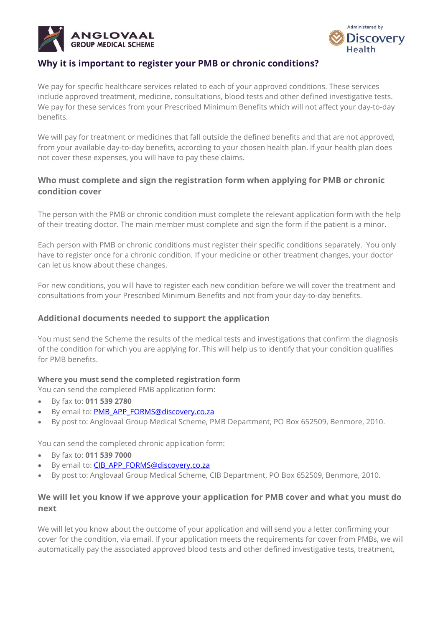



# **Why it is important to register your PMB or chronic conditions?**

We pay for specific healthcare services related to each of your approved conditions. These services include approved treatment, medicine, consultations, blood tests and other defined investigative tests. We pay for these services from your Prescribed Minimum Benefits which will not affect your day-to-day benefits.

We will pay for treatment or medicines that fall outside the defined benefits and that are not approved, from your available day-to-day benefits, according to your chosen health plan. If your health plan does not cover these expenses, you will have to pay these claims.

### **Who must complete and sign the registration form when applying for PMB or chronic condition cover**

The person with the PMB or chronic condition must complete the relevant application form with the help of their treating doctor. The main member must complete and sign the form if the patient is a minor.

Each person with PMB or chronic conditions must register their specific conditions separately. You only have to register once for a chronic condition. If your medicine or other treatment changes, your doctor can let us know about these changes.

For new conditions, you will have to register each new condition before we will cover the treatment and consultations from your Prescribed Minimum Benefits and not from your day-to-day benefits.

### **Additional documents needed to support the application**

You must send the Scheme the results of the medical tests and investigations that confirm the diagnosis of the condition for which you are applying for. This will help us to identify that your condition qualifies for PMB benefits.

#### **Where you must send the completed registration form**

You can send the completed PMB application form:

- By fax to: **011 539 2780**
- By email to: PMB\_APP\_FORMS@discovery.co.za
- By post to: Anglovaal Group Medical Scheme, PMB Department, PO Box 652509, Benmore, 2010.

You can send the completed chronic application form:

- By fax to: **011 539 7000**
- By email to: CIB\_APP\_FORMS@discovery.co.za
- By post to: Anglovaal Group Medical Scheme, CIB Department, PO Box 652509, Benmore, 2010.

### **We will let you know if we approve your application for PMB cover and what you must do next**

We will let you know about the outcome of your application and will send you a letter confirming your cover for the condition, via email. If your application meets the requirements for cover from PMBs, we will automatically pay the associated approved blood tests and other defined investigative tests, treatment,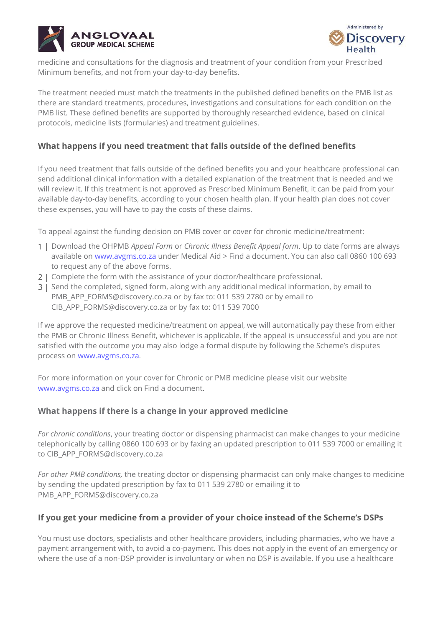



medicine and consultations for the diagnosis and treatment of your condition from your Prescribed Minimum benefits, and not from your day-to-day benefits.

The treatment needed must match the treatments in the published defined benefits on the PMB list as there are standard treatments, procedures, investigations and consultations for each condition on the PMB list. These defined benefits are supported by thoroughly researched evidence, based on clinical protocols, medicine lists (formularies) and treatment guidelines.

### **What happens if you need treatment that falls outside of the defined benefits**

If you need treatment that falls outside of the defined benefits you and your healthcare professional can send additional clinical information with a detailed explanation of the treatment that is needed and we will review it. If this treatment is not approved as Prescribed Minimum Benefit, it can be paid from your available day-to-day benefits, according to your chosen health plan. If your health plan does not cover these expenses, you will have to pay the costs of these claims.

To appeal against the funding decision on PMB cover or cover for chronic medicine/treatment:

- Download the OHPMB *Appeal Form* or *Chronic Illness Benefit Appeal form*. Up to date forms are always available on [www.avgms.co.za](http://www.avgms.co.za/) under Medical Aid > Find a document. You can also call 0860 100 693 to request any of the above forms.
- 2 | Complete the form with the assistance of your doctor/healthcare professional.
- Send the completed, signed form, along with any additional medical information, by email to [PMB\\_APP\\_FORMS@discovery.co.za](mailto:PMB_APP_FORMS@discovery.co.za) or by fax to: 011 539 2780 or by email to [CIB\\_APP\\_FORMS@discovery.co.za](mailto:CIB_APP_FORMS@discovery.co.za) or by fax to: 011 539 7000

If we approve the requested medicine/treatment on appeal, we will automatically pay these from either the PMB or Chronic Illness Benefit, whichever is applicable. If the appeal is unsuccessful and you are not satisfied with the outcome you may also lodge a formal dispute by following the Scheme's disputes process on [www.avgms.co.za](http://www.avgms.co.za/).

For more information on your cover for Chronic or PMB medicine please visit our website [www.avgms.co.za](http://www.avgms.co.za/) and click on Find a document.

### **What happens if there is a change in your approved medicine**

*For chronic conditions*, your treating doctor or dispensing pharmacist can make changes to your medicine telephonically by calling 0860 100 693 or by faxing an updated prescription to 011 539 7000 or emailing it to CIB\_APP\_FORMS@discovery.co.za

*For other PMB conditions,* the treating doctor or dispensing pharmacist can only make changes to medicine by sending the updated prescription by fax to 011 539 2780 or emailing it to [PMB\\_APP\\_FORMS@discovery.co.za](mailto:PMB_APP_FORMS@discovery.co.za)

### **If you get your medicine from a provider of your choice instead of the Scheme's DSPs**

You must use doctors, specialists and other healthcare providers, including pharmacies, who we have a payment arrangement with, to avoid a co-payment. This does not apply in the event of an emergency or where the use of a non-DSP provider is involuntary or when no DSP is available. If you use a healthcare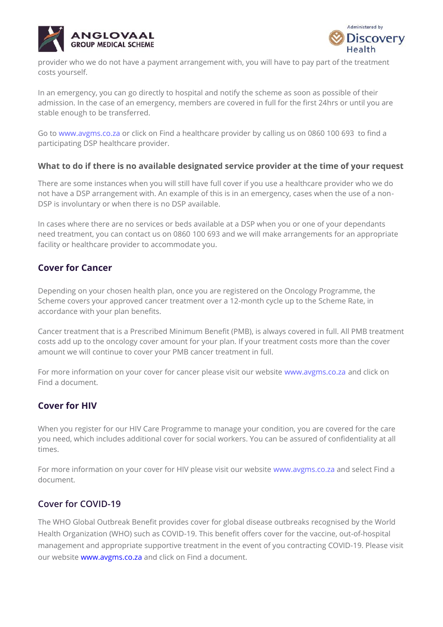



provider who we do not have a payment arrangement with, you will have to pay part of the treatment costs yourself.

In an emergency, you can go directly to hospital and notify the scheme as soon as possible of their admission. In the case of an emergency, members are covered in full for the first 24hrs or until you are stable enough to be transferred.

Go to [www.avgms.co.za](http://www.avgms.co.za/) or click on Find a healthcare provider by calling us on 0860 100 693 to find a participating DSP healthcare provider.

#### **What to do if there is no available designated service provider at the time of your request**

There are some instances when you will still have full cover if you use a healthcare provider who we do not have a DSP arrangement with. An example of this is in an emergency, cases when the use of a non-DSP is involuntary or when there is no DSP available.

In cases where there are no services or beds available at a DSP when you or one of your dependants need treatment, you can contact us on 0860 100 693 and we will make arrangements for an appropriate facility or healthcare provider to accommodate you.

# **Cover for Cancer**

Depending on your chosen health plan, once you are registered on the Oncology Programme, the Scheme covers your approved cancer treatment over a 12-month cycle up to the Scheme Rate, in accordance with your plan benefits.

Cancer treatment that is a Prescribed Minimum Benefit (PMB), is always covered in full. All PMB treatment costs add up to the oncology cover amount for your plan. If your treatment costs more than the cover amount we will continue to cover your PMB cancer treatment in full.

For more information on your cover for cancer please visit our website [www.avgms.co.za](http://www.avgms.co.za/) and click on Find a document.

# **Cover for HIV**

When you register for our HIV Care Programme to manage your condition, you are covered for the care you need, which includes additional cover for social workers. You can be assured of confidentiality at all times.

For more information on your cover for HIV please visit our website [www.avgms.co.za](http://www.avgms.co.za/) and select Find a document.

# **Cover for COVID-19**

The WHO Global Outbreak Benefit provides cover for global disease outbreaks recognised by the World Health Organization (WHO) such as COVID-19. This benefit offers cover for the vaccine, out-of-hospital management and appropriate supportive treatment in the event of you contracting COVID-19. Please visit our website [www.avgms.co.za](http://www.avgms.co.za/) and click on Find a document.